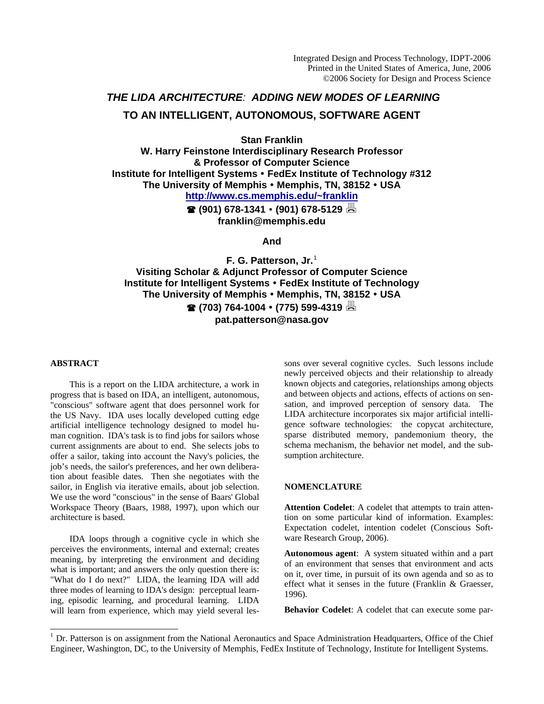# *THE LIDA ARCHITECTURE: ADDING NEW MODES OF LEARNING*  **TO AN INTELLIGENT, AUTONOMOUS, SOFTWARE AGENT**

**Stan Franklin** 

**W. Harry Feinstone Interdisciplinary Research Professor & Professor of Computer Science Institute for Intelligent Systems** y **FedEx Institute of Technology #312 The University of Memphis** y **Memphis, TN, 38152** y **USA http**:**[//www.cs.memphis.edu/~franklin](http://www.cs.memphis.edu/%7Efranklin)**  $\bullet$  **(901) 678-1341 • (901) 678-5129 圖** 

**[franklin@memphis.edu](mailto:franklin@memphis.edu)** 

**And** 

**F. G. Patterson, Jr.**[1](#page-0-0) **Visiting Scholar & Adjunct Professor of Computer Science Institute for Intelligent Systems** y **FedEx Institute of Technology The University of Memphis** y **Memphis, TN, 38152** y **USA (703) 764-1004** y **(775) 599-4319 pat.[patterson@nasa.gov](mailto:patterson@nasa.gov)** 

## **ABSTRACT**

 $\overline{\phantom{a}}$ 

This is a report on the LIDA architecture, a work in progress that is based on IDA, an intelligent, autonomous, "conscious" software agent that does personnel work for the US Navy. IDA uses locally developed cutting edge artificial intelligence technology designed to model human cognition. IDA's task is to find jobs for sailors whose current assignments are about to end. She selects jobs to offer a sailor, taking into account the Navy's policies, the job's needs, the sailor's preferences, and her own deliberation about feasible dates. Then she negotiates with the sailor, in English via iterative emails, about job selection. We use the word "conscious" in the sense of Baars' Global Workspace Theory (Baars, 1988, 1997), upon which our architecture is based.

IDA loops through a cognitive cycle in which she perceives the environments, internal and external; creates meaning, by interpreting the environment and deciding what is important; and answers the only question there is: "What do I do next?" LIDA, the learning IDA will add three modes of learning to IDA's design: perceptual learning, episodic learning, and procedural learning. LIDA will learn from experience, which may yield several les-

sons over several cognitive cycles. Such lessons include newly perceived objects and their relationship to already known objects and categories, relationships among objects and between objects and actions, effects of actions on sensation, and improved perception of sensory data. The LIDA architecture incorporates six major artificial intelligence software technologies: the copycat architecture, sparse distributed memory, pandemonium theory, the schema mechanism, the behavior net model, and the subsumption architecture.

## **NOMENCLATURE**

**Attention Codelet**: A codelet that attempts to train attention on some particular kind of information. Examples: Expectation codelet, intention codelet (Conscious Software Research Group, 2006).

**Autonomous agent**: A system situated within and a part of an environment that senses that environment and acts on it, over time, in pursuit of its own agenda and so as to effect what it senses in the future (Franklin & Graesser, 1996).

**Behavior Codelet**: A codelet that can execute some par-

<span id="page-0-0"></span> $1$  Dr. Patterson is on assignment from the National Aeronautics and Space Administration Headquarters, Office of the Chief Engineer, Washington, DC, to the University of Memphis, FedEx Institute of Technology, Institute for Intelligent Systems.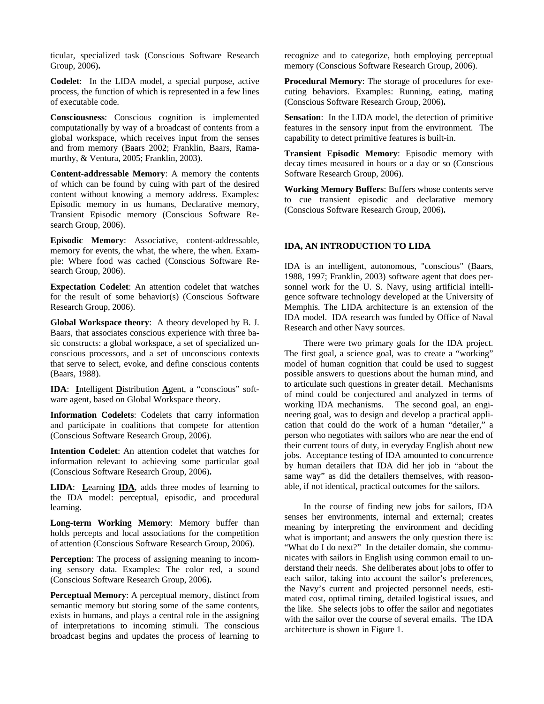ticular, specialized task (Conscious Software Research Group, 2006)**.**

**Codelet**: In the LIDA model, a special purpose, active process, the function of which is represented in a few lines of executable code.

**Consciousness**: Conscious cognition is implemented computationally by way of a broadcast of contents from a global workspace, which receives input from the senses and from memory (Baars 2002; Franklin, Baars, Ramamurthy, & Ventura, 2005; Franklin, 2003).

**Content-addressable Memory**: A memory the contents of which can be found by cuing with part of the desired content without knowing a memory address. Examples: Episodic memory in us humans, Declarative memory, Transient Episodic memory (Conscious Software Research Group, 2006).

**Episodic Memory**: Associative, content-addressable, memory for events, the what, the where, the when. Example: Where food was cached (Conscious Software Research Group, 2006).

**Expectation Codelet**: An attention codelet that watches for the result of some behavior(s) (Conscious Software Research Group, 2006).

**Global Workspace theory**: A theory developed by B. J. Baars, that associates conscious experience with three basic constructs: a global workspace, a set of specialized unconscious processors, and a set of unconscious contexts that serve to select, evoke, and define conscious contents (Baars, 1988).

**IDA**: **I**ntelligent **D**istribution **A**gent, a "conscious" software agent, based on Global Workspace theory.

**Information Codelets**: Codelets that carry information and participate in coalitions that compete for attention (Conscious Software Research Group, 2006).

**Intention Codelet**: An attention codelet that watches for information relevant to achieving some particular goal (Conscious Software Research Group, 2006)**.**

**LIDA**: **L**earning **IDA**, adds three modes of learning to the IDA model: perceptual, episodic, and procedural learning.

**Long-term Working Memory**: Memory buffer than holds percepts and local associations for the competition of attention (Conscious Software Research Group, 2006).

**Perception**: The process of assigning meaning to incoming sensory data. Examples: The color red, a sound (Conscious Software Research Group, 2006)**.**

**Perceptual Memory**: A perceptual memory, distinct from semantic memory but storing some of the same contents, exists in humans, and plays a central role in the assigning of interpretations to incoming stimuli. The conscious broadcast begins and updates the process of learning to

recognize and to categorize, both employing perceptual memory (Conscious Software Research Group, 2006).

**Procedural Memory**: The storage of procedures for executing behaviors. Examples: Running, eating, mating (Conscious Software Research Group, 2006)**.**

**Sensation:** In the LIDA model, the detection of primitive features in the sensory input from the environment. The capability to detect primitive features is built-in.

**Transient Episodic Memory**: Episodic memory with decay times measured in hours or a day or so (Conscious Software Research Group, 2006).

**Working Memory Buffers**: Buffers whose contents serve to cue transient episodic and declarative memory (Conscious Software Research Group, 2006)**.**

## **IDA, AN INTRODUCTION TO LIDA**

IDA is an intelligent, autonomous, "conscious" (Baars, 1988, 1997; Franklin, 2003) software agent that does personnel work for the U. S. Navy, using artificial intelligence software technology developed at the University of Memphis. The LIDA architecture is an extension of the IDA model. IDA research was funded by Office of Naval Research and other Navy sources.

There were two primary goals for the IDA project. The first goal, a science goal, was to create a "working" model of human cognition that could be used to suggest possible answers to questions about the human mind, and to articulate such questions in greater detail. Mechanisms of mind could be conjectured and analyzed in terms of working IDA mechanisms. The second goal, an engineering goal, was to design and develop a practical application that could do the work of a human "detailer," a person who negotiates with sailors who are near the end of their current tours of duty, in everyday English about new jobs. Acceptance testing of IDA amounted to concurrence by human detailers that IDA did her job in "about the same way" as did the detailers themselves, with reasonable, if not identical, practical outcomes for the sailors.

In the course of finding new jobs for sailors, IDA senses her environments, internal and external; creates meaning by interpreting the environment and deciding what is important; and answers the only question there is: "What do I do next?" In the detailer domain, she communicates with sailors in English using common email to understand their needs. She deliberates about jobs to offer to each sailor, taking into account the sailor's preferences, the Navy's current and projected personnel needs, estimated cost, optimal timing, detailed logistical issues, and the like. She selects jobs to offer the sailor and negotiates with the sailor over the course of several emails. The IDA architecture is shown in Figure 1.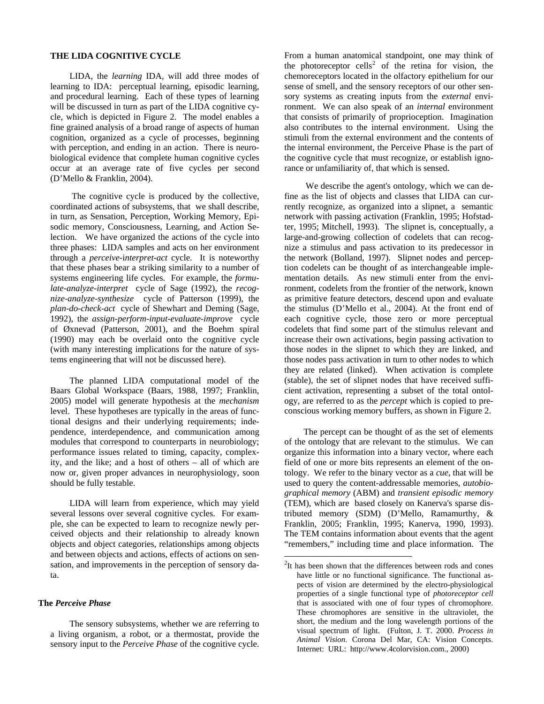#### **THE LIDA COGNITIVE CYCLE**

LIDA, the *learning* IDA, will add three modes of learning to IDA: perceptual learning, episodic learning, and procedural learning. Each of these types of learning will be discussed in turn as part of the LIDA cognitive cycle, which is depicted in Figure 2. The model enables a fine grained analysis of a broad range of aspects of human cognition, organized as a cycle of processes, beginning with perception, and ending in an action. There is neurobiological evidence that complete human cognitive cycles occur at an average rate of five cycles per second (D'Mello & Franklin, 2004).

 The cognitive cycle is produced by the collective, coordinated actions of subsystems, that we shall describe, in turn, as Sensation, Perception, Working Memory, Episodic memory, Consciousness, Learning, and Action Selection. We have organized the actions of the cycle into three phases: LIDA samples and acts on her environment through a *perceive*-i*nterpret*-*act* cycle. It is noteworthy that these phases bear a striking similarity to a number of systems engineering life cycles. For example, the *formulate-analyze-interpret* cycle of Sage (1992), the *recognize-analyze-synthesize* cycle of Patterson (1999), the *plan-do-check-act* cycle of Shewhart and Deming (Sage, 1992), the *assign-perform-input-evaluate-improve* cycle of Øxnevad (Patterson, 2001), and the Boehm spiral (1990) may each be overlaid onto the cognitive cycle (with many interesting implications for the nature of systems engineering that will not be discussed here).

The planned LIDA computational model of the Baars Global Workspace (Baars, 1988, 1997; Franklin, 2005) model will generate hypothesis at the *mechanism* level. These hypotheses are typically in the areas of functional designs and their underlying requirements; independence, interdependence, and communication among modules that correspond to counterparts in neurobiology; performance issues related to timing, capacity, complexity, and the like; and a host of others – all of which are now or, given proper advances in neurophysiology, soon should be fully testable.

LIDA will learn from experience, which may yield several lessons over several cognitive cycles. For example, she can be expected to learn to recognize newly perceived objects and their relationship to already known objects and object categories, relationships among objects and between objects and actions, effects of actions on sensation, and improvements in the perception of sensory data.

## <span id="page-2-0"></span>**The** *Perceive Phase*

The sensory subsystems, whether we are referring to a living organism, a robot, or a thermostat, provide the sensory input to the *Perceive Phase* of the cognitive cycle.

From a human anatomical standpoint, one may think of the photoreceptor cells<sup>[2](#page-2-0)</sup> of the retina for vision, the chemoreceptors located in the olfactory epithelium for our sense of smell, and the sensory receptors of our other sensory systems as creating inputs from the *external* environment. We can also speak of an *internal* environment that consists of primarily of proprioception. Imagination also contributes to the internal environment. Using the stimuli from the external environment and the contents of the internal environment, the Perceive Phase is the part of the cognitive cycle that must recognize, or establish ignorance or unfamiliarity of, that which is sensed.

 We describe the agent's ontology, which we can define as the list of objects and classes that LIDA can currently recognize, as organized into a slipnet, a semantic network with passing activation (Franklin, 1995; Hofstadter, 1995; Mitchell, 1993). The slipnet is, conceptually, a large-and-growing collection of codelets that can recognize a stimulus and pass activation to its predecessor in the network (Bolland, 1997). Slipnet nodes and perception codelets can be thought of as interchangeable implementation details. As new stimuli enter from the environment, codelets from the frontier of the network, known as primitive feature detectors, descend upon and evaluate the stimulus (D'Mello et al., 2004). At the front end of each cognitive cycle, those zero or more perceptual codelets that find some part of the stimulus relevant and increase their own activations, begin passing activation to those nodes in the slipnet to which they are linked, and those nodes pass activation in turn to other nodes to which they are related (linked). When activation is complete (stable), the set of slipnet nodes that have received sufficient activation, representing a subset of the total ontology, are referred to as the *percept* which is copied to preconscious working memory buffers, as shown in Figure 2.

The percept can be thought of as the set of elements of the ontology that are relevant to the stimulus. We can organize this information into a binary vector, where each field of one or more bits represents an element of the ontology. We refer to the binary vector as a *cue*, that will be used to query the content-addressable memories, *autobiographical memory* (ABM) and *transient episodic memory*  (TEM), which are based closely on Kanerva's sparse distributed memory (SDM) (D'Mello, Ramamurthy, & Franklin, 2005; Franklin, 1995; Kanerva, 1990, 1993). The TEM contains information about events that the agent "remembers," including time and place information. The

1

 $2$ It has been shown that the differences between rods and cones have little or no functional significance. The functional aspects of vision are determined by the electro-physiological properties of a single functional type of *photoreceptor cell* that is associated with one of four types of chromophore. These chromophores are sensitive in the ultraviolet, the short, the medium and the long wavelength portions of the visual spectrum of light. (Fulton, J. T. 2000. *Process in Animal Vision*. Corona Del Mar, CA: Vision Concepts. Internet: URL: [http://www.4colorvision.com., 20](http://www.4colorvision.com)00)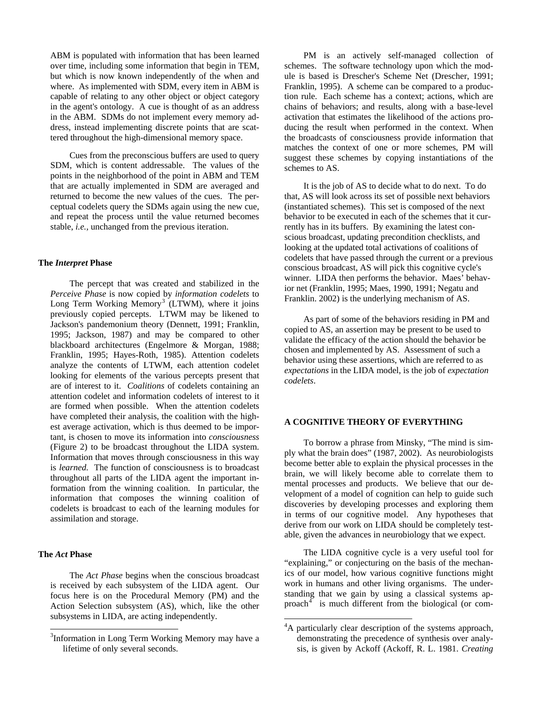ABM is populated with information that has been learned over time, including some information that begin in TEM, but which is now known independently of the when and where. As implemented with SDM, every item in ABM is capable of relating to any other object or object category in the agent's ontology. A cue is thought of as an address in the ABM. SDMs do not implement every memory address, instead implementing discrete points that are scattered throughout the high-dimensional memory space.

Cues from the preconscious buffers are used to query SDM, which is content addressable. The values of the points in the neighborhood of the point in ABM and TEM that are actually implemented in SDM are averaged and returned to become the new values of the cues. The perceptual codelets query the SDMs again using the new cue, and repeat the process until the value returned becomes stable, *i.e.,* unchanged from the previous iteration.

## **The** *Interpret* **Phase**

The percept that was created and stabilized in the *Perceive Phase* is now copied by *information codelets* to Long Term Working Memory<sup>[3](#page-3-0)</sup> (LTWM), where it joins previously copied percepts. LTWM may be likened to Jackson's pandemonium theory (Dennett, 1991; Franklin, 1995; Jackson, 1987) and may be compared to other blackboard architectures (Engelmore & Morgan, 1988; Franklin, 1995; Hayes-Roth, 1985). Attention codelets analyze the contents of LTWM, each attention codelet looking for elements of the various percepts present that are of interest to it. *Coalitions* of codelets containing an attention codelet and information codelets of interest to it are formed when possible. When the attention codelets have completed their analysis, the coalition with the highest average activation, which is thus deemed to be important, is chosen to move its information into *consciousness* (Figure 2) to be broadcast throughout the LIDA system. Information that moves through consciousness in this way is *learned.* The function of consciousness is to broadcast throughout all parts of the LIDA agent the important information from the winning coalition. In particular, the information that composes the winning coalition of codelets is broadcast to each of the learning modules for assimilation and storage.

## **The** *Act* **Phase**

<span id="page-3-1"></span> $\overline{\phantom{a}}$ 

The *Act Phase* begins when the conscious broadcast is received by each subsystem of the LIDA agent. Our focus here is on the Procedural Memory (PM) and the Action Selection subsystem (AS), which, like the other subsystems in LIDA, are acting independently.

PM is an actively self-managed collection of schemes. The software technology upon which the module is based is Drescher's Scheme Net (Drescher, 1991; Franklin, 1995). A scheme can be compared to a production rule. Each scheme has a context; actions, which are chains of behaviors; and results, along with a base-level activation that estimates the likelihood of the actions producing the result when performed in the context. When the broadcasts of consciousness provide information that matches the context of one or more schemes, PM will suggest these schemes by copying instantiations of the schemes to AS.

It is the job of AS to decide what to do next. To do that, AS will look across its set of possible next behaviors (instantiated schemes). This set is composed of the next behavior to be executed in each of the schemes that it currently has in its buffers. By examining the latest conscious broadcast, updating precondition checklists, and looking at the updated total activations of coalitions of codelets that have passed through the current or a previous conscious broadcast, AS will pick this cognitive cycle's winner. LIDA then performs the behavior. Maes' behavior net (Franklin, 1995; Maes, 1990, 1991; Negatu and Franklin. 2002) is the underlying mechanism of AS.

As part of some of the behaviors residing in PM and copied to AS, an assertion may be present to be used to validate the efficacy of the action should the behavior be chosen and implemented by AS. Assessment of such a behavior using these assertions, which are referred to as *expectations* in the LIDA model, is the job of *expectation codelets*.

## **A COGNITIVE THEORY OF EVERYTHING**

To borrow a phrase from Minsky, "The mind is simply what the brain does" (1987, 2002). As neurobiologists become better able to explain the physical processes in the brain, we will likely become able to correlate them to mental processes and products. We believe that our development of a model of cognition can help to guide such discoveries by developing processes and exploring them in terms of our cognitive model. Any hypotheses that derive from our work on LIDA should be completely testable, given the advances in neurobiology that we expect.

The LIDA cognitive cycle is a very useful tool for "explaining," or conjecturing on the basis of the mechanics of our model, how various cognitive functions might work in humans and other living organisms. The understanding that we gain by using a classical systems approach<sup> $\uparrow$ </sup> is much different from the biological (or com-

1

<span id="page-3-0"></span><sup>&</sup>lt;sup>3</sup>Information in Long Term Working Memory may have a lifetime of only several seconds.

<sup>&</sup>lt;sup>4</sup>A particularly clear description of the systems approach, demonstrating the precedence of synthesis over analysis, is given by Ackoff (Ackoff, R. L. 1981. *Creating*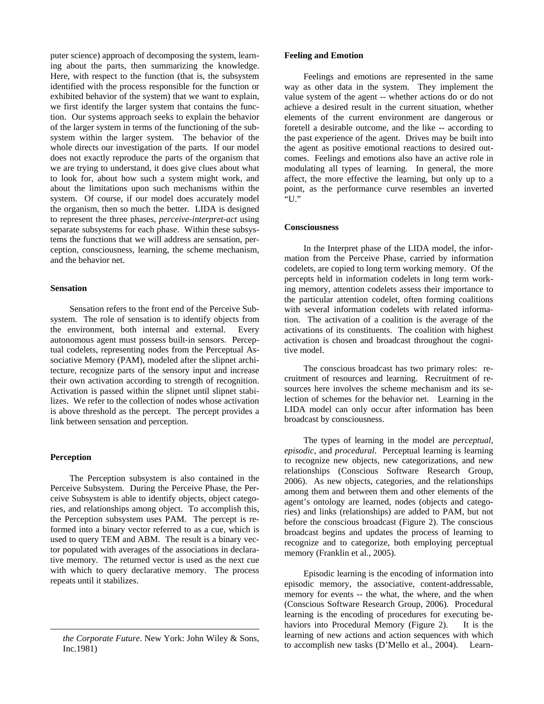puter science) approach of decomposing the system, learning about the parts, then summarizing the knowledge. Here, with respect to the function (that is, the subsystem identified with the process responsible for the function or exhibited behavior of the system) that we want to explain, we first identify the larger system that contains the function. Our systems approach seeks to explain the behavior of the larger system in terms of the functioning of the subsystem within the larger system. The behavior of the whole directs our investigation of the parts. If our model does not exactly reproduce the parts of the organism that we are trying to understand, it does give clues about what to look for, about how such a system might work, and about the limitations upon such mechanisms within the system. Of course, if our model does accurately model the organism, then so much the better. LIDA is designed to represent the three phases, *perceive-interpret-act* using separate subsystems for each phase. Within these subsystems the functions that we will address are sensation, perception, consciousness, learning, the scheme mechanism, and the behavior net.

## **Sensation**

Sensation refers to the front end of the Perceive Subsystem. The role of sensation is to identify objects from the environment, both internal and external. Every autonomous agent must possess built-in sensors. Perceptual codelets, representing nodes from the Perceptual Associative Memory (PAM), modeled after the slipnet architecture, recognize parts of the sensory input and increase their own activation according to strength of recognition. Activation is passed within the slipnet until slipnet stabilizes. We refer to the collection of nodes whose activation is above threshold as the percept. The percept provides a link between sensation and perception.

## **Perception**

 $\overline{\phantom{a}}$ 

The Perception subsystem is also contained in the Perceive Subsystem. During the Perceive Phase, the Perceive Subsystem is able to identify objects, object categories, and relationships among object. To accomplish this, the Perception subsystem uses PAM. The percept is reformed into a binary vector referred to as a cue, which is used to query TEM and ABM. The result is a binary vector populated with averages of the associations in declarative memory. The returned vector is used as the next cue with which to query declarative memory. The process repeats until it stabilizes.

## **Feeling and Emotion**

Feelings and emotions are represented in the same way as other data in the system. They implement the value system of the agent -- whether actions do or do not achieve a desired result in the current situation, whether elements of the current environment are dangerous or foretell a desirable outcome, and the like -- according to the past experience of the agent. Drives may be built into the agent as positive emotional reactions to desired outcomes. Feelings and emotions also have an active role in modulating all types of learning. In general, the more affect, the more effective the learning, but only up to a point, as the performance curve resembles an inverted "U."

## **Consciousness**

In the Interpret phase of the LIDA model, the information from the Perceive Phase, carried by information codelets, are copied to long term working memory. Of the percepts held in information codelets in long term working memory, attention codelets assess their importance to the particular attention codelet, often forming coalitions with several information codelets with related information. The activation of a coalition is the average of the activations of its constituents. The coalition with highest activation is chosen and broadcast throughout the cognitive model.

The conscious broadcast has two primary roles: recruitment of resources and learning. Recruitment of resources here involves the scheme mechanism and its selection of schemes for the behavior net. Learning in the LIDA model can only occur after information has been broadcast by consciousness.

The types of learning in the model are *perceptual*, *episodic*, and *procedural*. Perceptual learning is learning to recognize new objects, new categorizations, and new relationships (Conscious Software Research Group, 2006). As new objects, categories, and the relationships among them and between them and other elements of the agent's ontology are learned, nodes (objects and categories) and links (relationships) are added to PAM, but not before the conscious broadcast (Figure 2). The conscious broadcast begins and updates the process of learning to recognize and to categorize, both employing perceptual memory (Franklin et al., 2005).

Episodic learning is the encoding of information into episodic memory, the associative, content-addressable, memory for events -- the what, the where, and the when (Conscious Software Research Group, 2006). Procedural learning is the encoding of procedures for executing behaviors into Procedural Memory (Figure 2). It is the learning of new actions and action sequences with which to accomplish new tasks (D'Mello et al., 2004). Learn-

*the Corporate Future*. New York: John Wiley & Sons, Inc.1981)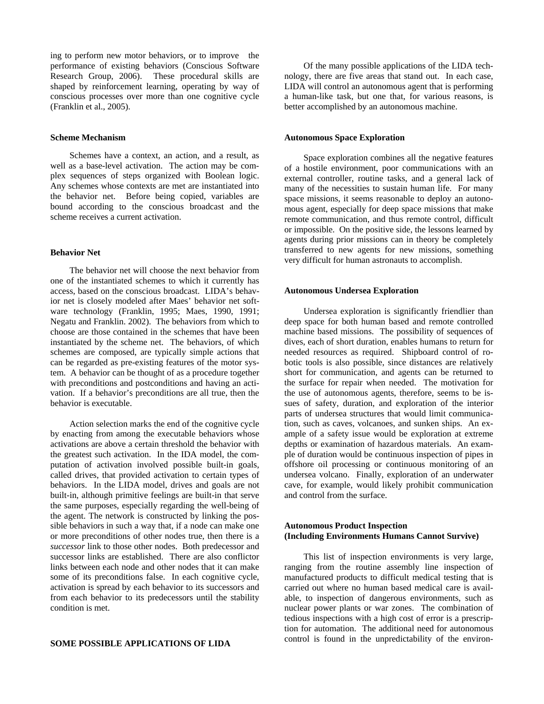ing to perform new motor behaviors, or to improve the performance of existing behaviors (Conscious Software Research Group, 2006). These procedural skills are shaped by reinforcement learning, operating by way of conscious processes over more than one cognitive cycle (Franklin et al., 2005).

## **Scheme Mechanism**

Schemes have a context, an action, and a result, as well as a base-level activation. The action may be complex sequences of steps organized with Boolean logic. Any schemes whose contexts are met are instantiated into the behavior net. Before being copied, variables are bound according to the conscious broadcast and the scheme receives a current activation.

### **Behavior Net**

The behavior net will choose the next behavior from one of the instantiated schemes to which it currently has access, based on the conscious broadcast. LIDA's behavior net is closely modeled after Maes' behavior net software technology (Franklin, 1995; Maes, 1990, 1991; Negatu and Franklin. 2002). The behaviors from which to choose are those contained in the schemes that have been instantiated by the scheme net. The behaviors, of which schemes are composed, are typically simple actions that can be regarded as pre-existing features of the motor system. A behavior can be thought of as a procedure together with preconditions and postconditions and having an activation. If a behavior's preconditions are all true, then the behavior is executable.

Action selection marks the end of the cognitive cycle by enacting from among the executable behaviors whose activations are above a certain threshold the behavior with the greatest such activation. In the IDA model, the computation of activation involved possible built-in goals, called drives, that provided activation to certain types of behaviors. In the LIDA model, drives and goals are not built-in, although primitive feelings are built-in that serve the same purposes, especially regarding the well-being of the agent. The network is constructed by linking the possible behaviors in such a way that, if a node can make one or more preconditions of other nodes true, then there is a *successor* link to those other nodes. Both predecessor and successor links are established. There are also conflictor links between each node and other nodes that it can make some of its preconditions false. In each cognitive cycle, activation is spread by each behavior to its successors and from each behavior to its predecessors until the stability condition is met.

## **SOME POSSIBLE APPLICATIONS OF LIDA**

Of the many possible applications of the LIDA technology, there are five areas that stand out. In each case, LIDA will control an autonomous agent that is performing a human-like task, but one that, for various reasons, is better accomplished by an autonomous machine.

#### **Autonomous Space Exploration**

Space exploration combines all the negative features of a hostile environment, poor communications with an external controller, routine tasks, and a general lack of many of the necessities to sustain human life.For many space missions, it seems reasonable to deploy an autonomous agent, especially for deep space missions that make remote communication, and thus remote control, difficult or impossible. On the positive side, the lessons learned by agents during prior missions can in theory be completely transferred to new agents for new missions, something very difficult for human astronauts to accomplish.

#### **Autonomous Undersea Exploration**

Undersea exploration is significantly friendlier than deep space for both human based and remote controlled machine based missions. The possibility of sequences of dives, each of short duration, enables humans to return for needed resources as required. Shipboard control of robotic tools is also possible, since distances are relatively short for communication, and agents can be returned to the surface for repair when needed. The motivation for the use of autonomous agents, therefore, seems to be issues of safety, duration, and exploration of the interior parts of undersea structures that would limit communication, such as caves, volcanoes, and sunken ships. An example of a safety issue would be exploration at extreme depths or examination of hazardous materials. An example of duration would be continuous inspection of pipes in offshore oil processing or continuous monitoring of an undersea volcano. Finally, exploration of an underwater cave, for example, would likely prohibit communication and control from the surface.

## **Autonomous Product Inspection (Including Environments Humans Cannot Survive)**

This list of inspection environments is very large, ranging from the routine assembly line inspection of manufactured products to difficult medical testing that is carried out where no human based medical care is available, to inspection of dangerous environments, such as nuclear power plants or war zones. The combination of tedious inspections with a high cost of error is a prescription for automation. The additional need for autonomous control is found in the unpredictability of the environ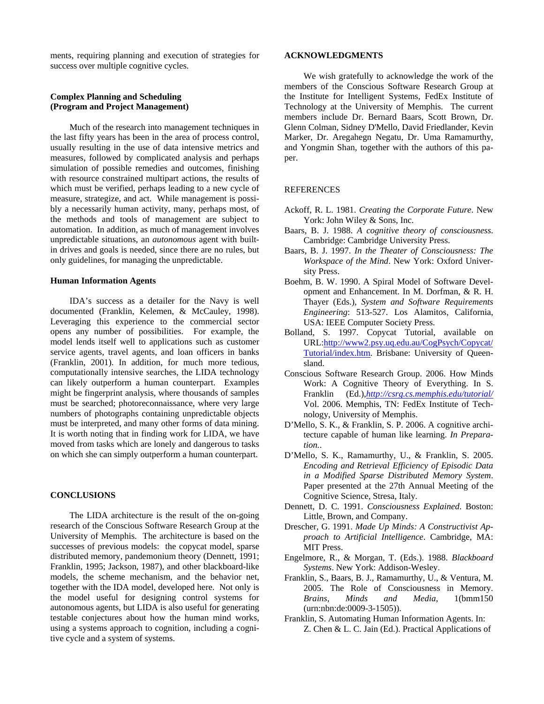ments, requiring planning and execution of strategies for success over multiple cognitive cycles.

## **Complex Planning and Scheduling (Program and Project Management)**

Much of the research into management techniques in the last fifty years has been in the area of process control, usually resulting in the use of data intensive metrics and measures, followed by complicated analysis and perhaps simulation of possible remedies and outcomes, finishing with resource constrained multipart actions, the results of which must be verified, perhaps leading to a new cycle of measure, strategize, and act. While management is possibly a necessarily human activity, many, perhaps most, of the methods and tools of management are subject to automation. In addition, as much of management involves unpredictable situations, an *autonomous* agent with builtin drives and goals is needed, since there are no rules, but only guidelines, for managing the unpredictable.

### **Human Information Agents**

IDA's success as a detailer for the Navy is well documented (Franklin, Kelemen, & McCauley, 1998). Leveraging this experience to the commercial sector opens any number of possibilities. For example, the model lends itself well to applications such as customer service agents, travel agents, and loan officers in banks (Franklin, 2001). In addition, for much more tedious, computationally intensive searches, the LIDA technology can likely outperform a human counterpart. Examples might be fingerprint analysis, where thousands of samples must be searched; photoreconnaissance, where very large numbers of photographs containing unpredictable objects must be interpreted, and many other forms of data mining. It is worth noting that in finding work for LIDA, we have moved from tasks which are lonely and dangerous to tasks on which she can simply outperform a human counterpart.

### **CONCLUSIONS**

The LIDA architecture is the result of the on-going research of the Conscious Software Research Group at the University of Memphis. The architecture is based on the successes of previous models: the copycat model, sparse distributed memory, pandemonium theory (Dennett, 1991; Franklin, 1995; Jackson, 1987), and other blackboard-like models, the scheme mechanism, and the behavior net, together with the IDA model, developed here. Not only is the model useful for designing control systems for autonomous agents, but LIDA is also useful for generating testable conjectures about how the human mind works, using a systems approach to cognition, including a cognitive cycle and a system of systems.

### **ACKNOWLEDGMENTS**

We wish gratefully to acknowledge the work of the members of the Conscious Software Research Group at the Institute for Intelligent Systems, FedEx Institute of Technology at the University of Memphis. The current members include [Dr. Bernard Baars](http://www.nsi.edu/users/baars/), Scott Brown, Dr. Glenn Colman, [Sidney D'Mello](http://www.msci.memphis.edu/%7Esdmello/), David Friedlander, Kevin Marker, Dr. Aregahegn Negatu, Dr. [Uma Ramamurthy,](http://www.cs.memphis.edu/%7Eramamurt/) and Yongmin Shan, together with the authors of this paper.

#### REFERENCES

- Ackoff, R. L. 1981. *Creating the Corporate Future*. New York: John Wiley & Sons, Inc.
- Baars, B. J. 1988. *A cognitive theory of consciousness*. Cambridge: Cambridge University Press.
- Baars, B. J. 1997. *In the Theater of Consciousness: The Workspace of the Mind*. New York: Oxford University Press.
- Boehm, B. W. 1990. A Spiral Model of Software Development and Enhancement. In M. Dorfman, & R. H. Thayer (Eds.), *System and Software Requirements Engineering*: 513-527. Los Alamitos, California, USA: IEEE Computer Society Press.
- Bolland, S. 1997. Copycat Tutorial, available on URL:[http://www2.psy.uq.edu.au/CogPsych/Copycat/](http://www2.psy.uq.edu.au/CogPsych/Copycat/Tutorial/index.htm) [Tutorial/index.htm.](http://www2.psy.uq.edu.au/CogPsych/Copycat/Tutorial/index.htm) Brisbane: University of Queensland.
- Conscious Software Research Group. 2006. How Minds Work: A Cognitive Theory of Everything. In S. Franklin (Ed.),*<http://csrg.cs.memphis.edu/tutorial/>* Vol. 2006. Memphis, TN: FedEx Institute of Technology, University of Memphis.
- D'Mello, S. K., & Franklin, S. P. 2006. A cognitive architecture capable of human like learning. *In Preparation.*.
- D'Mello, S. K., Ramamurthy, U., & Franklin, S. 2005. *Encoding and Retrieval Efficiency of Episodic Data in a Modified Sparse Distributed Memory System*. Paper presented at the 27th Annual Meeting of the Cognitive Science, Stresa, Italy.
- Dennett, D. C. 1991. *Consciousness Explained*. Boston: Little, Brown, and Company.
- Drescher, G. 1991. *Made Up Minds: A Constructivist Approach to Artificial Intelligence*. Cambridge, MA: MIT Press.
- Engelmore, R., & Morgan, T. (Eds.). 1988. *Blackboard Systems*. New York: Addison-Wesley.
- Franklin, S., Baars, B. J., Ramamurthy, U., & Ventura, M. 2005. The Role of Consciousness in Memory. *Brains, Minds and Media*, 1(bmm150 (urn:nbn:de:0009-3-1505)).
- Franklin, S. Automating Human Information Agents. In: Z. Chen & L. C. Jain (Ed.). Practical Applications of